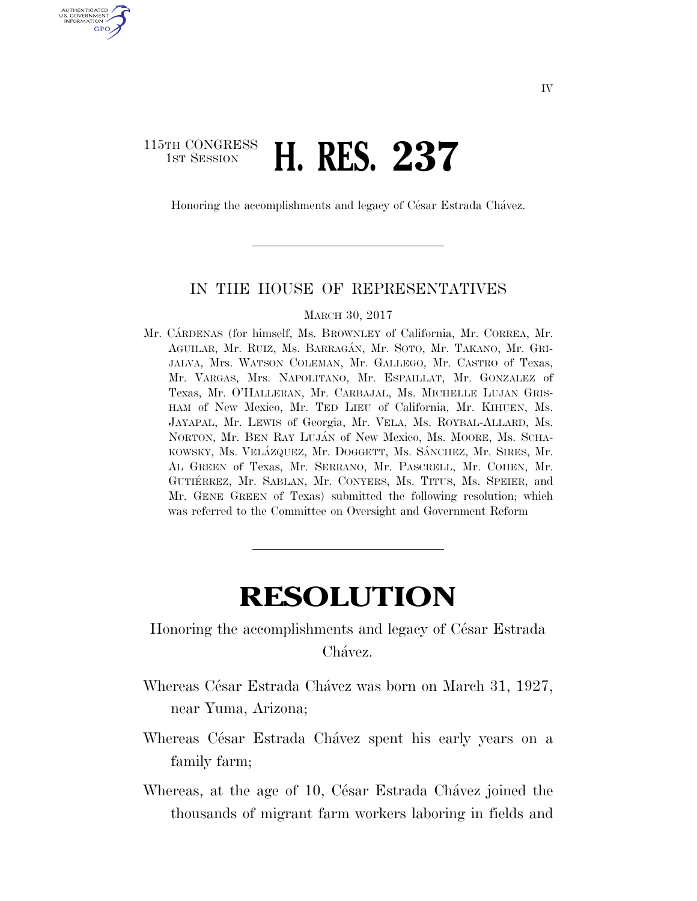## 115TH CONGRESS **1st Session H. RES. 237**

U.S. GOVERNMENT GPO

Honoring the accomplishments and legacy of César Estrada Chávez.

## IN THE HOUSE OF REPRESENTATIVES

## MARCH 30, 2017

Mr. CARDENAS (for himself, Ms. BROWNLEY of California, Mr. CORREA, Mr. AGUILAR, Mr. RUIZ, Ms. BARRAGA´N, Mr. SOTO, Mr. TAKANO, Mr. GRI-JALVA, Mrs. WATSON COLEMAN, Mr. GALLEGO, Mr. CASTRO of Texas, Mr. VARGAS, Mrs. NAPOLITANO, Mr. ESPAILLAT, Mr. GONZALEZ of Texas, Mr. O'HALLERAN, Mr. CARBAJAL, Ms. MICHELLE LUJAN GRIS-HAM of New Mexico, Mr. TED LIEU of California, Mr. KIHUEN, Ms. JAYAPAL, Mr. LEWIS of Georgia, Mr. VELA, Ms. ROYBAL-ALLARD, Ms. NORTON, Mr. BEN RAY LUJÁN of New Mexico, Ms. MOORE, Ms. SCHA-KOWSKY, Ms. VELÁZQUEZ, Mr. DOGGETT, Ms. SÁNCHEZ, Mr. SIRES, Mr. AL GREEN of Texas, Mr. SERRANO, Mr. PASCRELL, Mr. COHEN, Mr. GUTIÉRREZ, Mr. SABLAN, Mr. CONYERS, Ms. TITUS, Ms. SPEIER, and Mr. GENE GREEN of Texas) submitted the following resolution; which was referred to the Committee on Oversight and Government Reform

## **RESOLUTION**

Honoring the accomplishments and legacy of César Estrada Chávez.

- Whereas César Estrada Chávez was born on March 31, 1927, near Yuma, Arizona;
- Whereas César Estrada Chávez spent his early years on a family farm;
- Whereas, at the age of 10, César Estrada Chávez joined the thousands of migrant farm workers laboring in fields and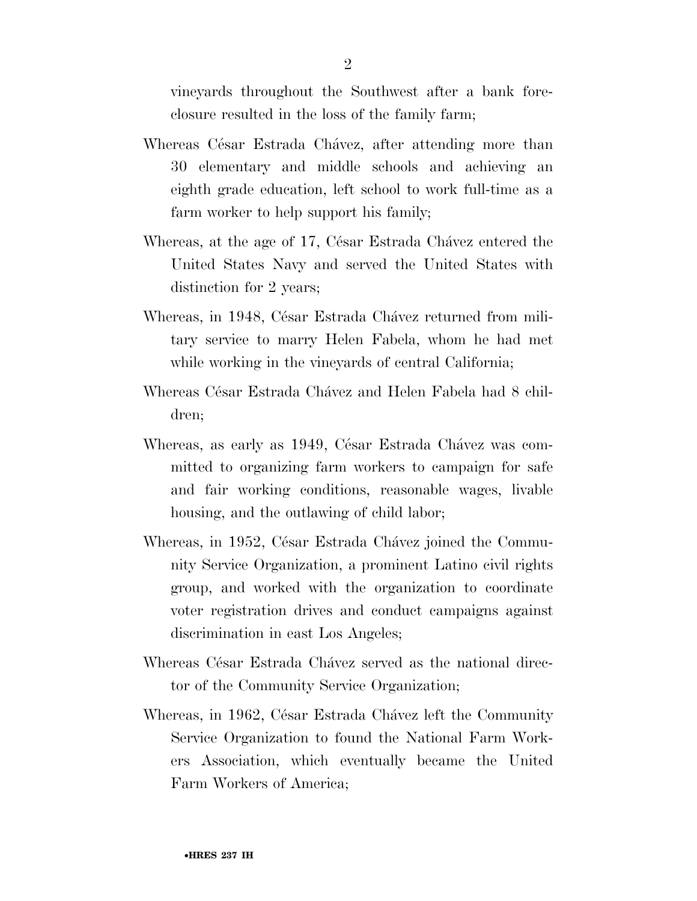vineyards throughout the Southwest after a bank foreclosure resulted in the loss of the family farm;

- Whereas César Estrada Chávez, after attending more than 30 elementary and middle schools and achieving an eighth grade education, left school to work full-time as a farm worker to help support his family;
- Whereas, at the age of 17, César Estrada Chávez entered the United States Navy and served the United States with distinction for 2 years;
- Whereas, in 1948, César Estrada Chávez returned from military service to marry Helen Fabela, whom he had met while working in the vineyards of central California;
- Whereas César Estrada Chávez and Helen Fabela had 8 children;
- Whereas, as early as 1949, César Estrada Chávez was committed to organizing farm workers to campaign for safe and fair working conditions, reasonable wages, livable housing, and the outlawing of child labor;
- Whereas, in 1952, César Estrada Chávez joined the Community Service Organization, a prominent Latino civil rights group, and worked with the organization to coordinate voter registration drives and conduct campaigns against discrimination in east Los Angeles;
- Whereas César Estrada Chávez served as the national director of the Community Service Organization;
- Whereas, in 1962, César Estrada Chávez left the Community Service Organization to found the National Farm Workers Association, which eventually became the United Farm Workers of America;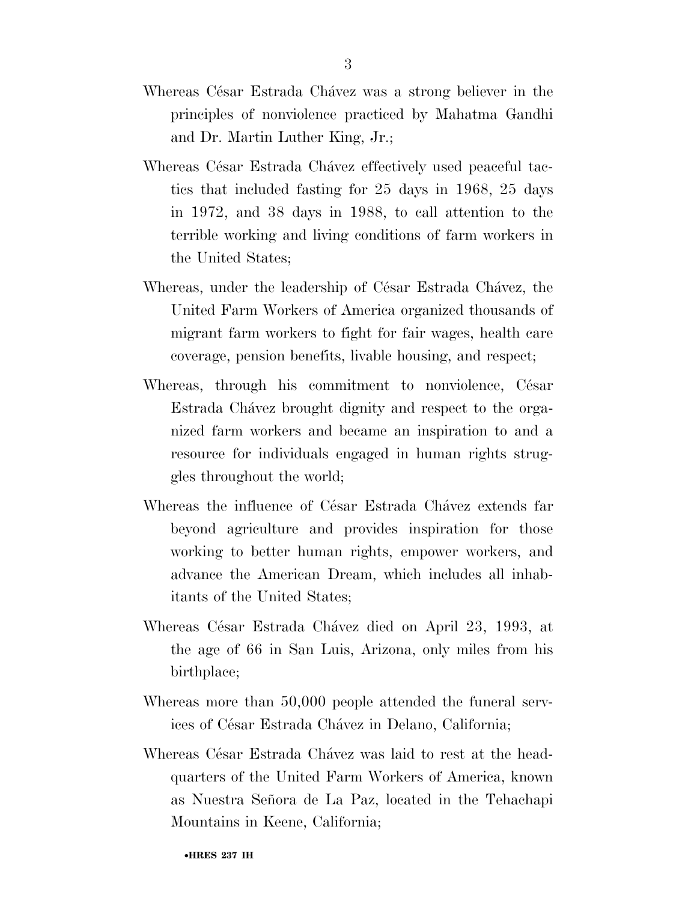- Whereas César Estrada Chávez was a strong believer in the principles of nonviolence practiced by Mahatma Gandhi and Dr. Martin Luther King, Jr.;
- Whereas César Estrada Chávez effectively used peaceful tactics that included fasting for 25 days in 1968, 25 days in 1972, and 38 days in 1988, to call attention to the terrible working and living conditions of farm workers in the United States;
- Whereas, under the leadership of César Estrada Chávez, the United Farm Workers of America organized thousands of migrant farm workers to fight for fair wages, health care coverage, pension benefits, livable housing, and respect;
- Whereas, through his commitment to nonviolence, César Estrada Cha´vez brought dignity and respect to the organized farm workers and became an inspiration to and a resource for individuals engaged in human rights struggles throughout the world;
- Whereas the influence of César Estrada Chavez extends far beyond agriculture and provides inspiration for those working to better human rights, empower workers, and advance the American Dream, which includes all inhabitants of the United States;
- Whereas César Estrada Chávez died on April 23, 1993, at the age of 66 in San Luis, Arizona, only miles from his birthplace;
- Whereas more than 50,000 people attended the funeral services of César Estrada Chávez in Delano, California;
- Whereas César Estrada Chávez was laid to rest at the headquarters of the United Farm Workers of America, known as Nuestra Señora de La Paz, located in the Tehachapi Mountains in Keene, California;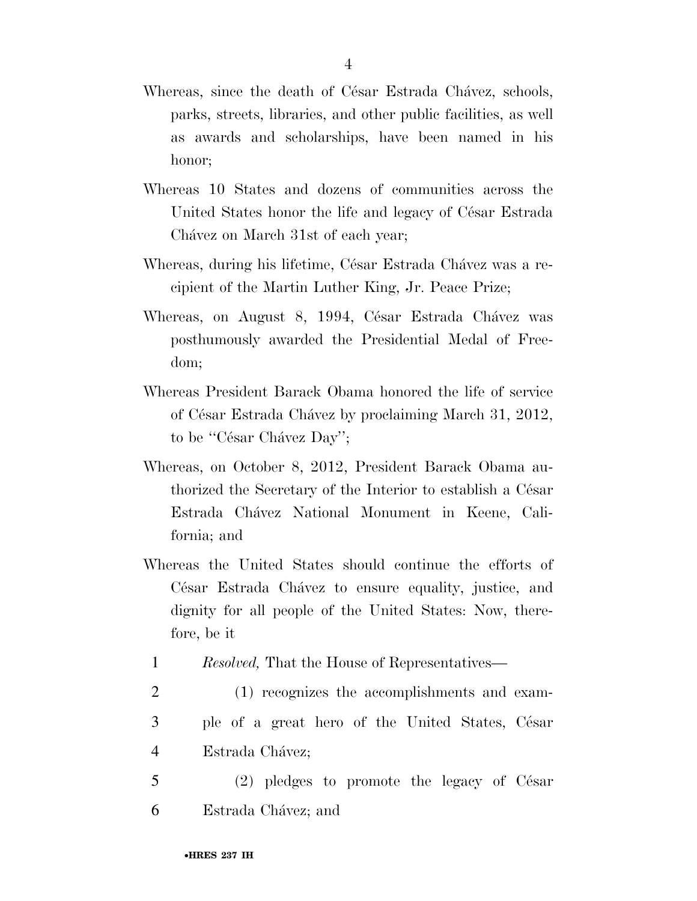- Whereas, since the death of César Estrada Chávez, schools, parks, streets, libraries, and other public facilities, as well as awards and scholarships, have been named in his honor;
- Whereas 10 States and dozens of communities across the United States honor the life and legacy of César Estrada Chávez on March 31st of each year;
- Whereas, during his lifetime, César Estrada Chávez was a recipient of the Martin Luther King, Jr. Peace Prize;
- Whereas, on August 8, 1994, César Estrada Chávez was posthumously awarded the Presidential Medal of Freedom;
- Whereas President Barack Obama honored the life of service of César Estrada Chávez by proclaiming March 31, 2012, to be "César Chávez Day";
- Whereas, on October 8, 2012, President Barack Obama authorized the Secretary of the Interior to establish a César Estrada Cha´vez National Monument in Keene, California; and
- Whereas the United States should continue the efforts of César Estrada Chávez to ensure equality, justice, and dignity for all people of the United States: Now, therefore, be it
	- 1 *Resolved,* That the House of Representatives—
- 2 (1) recognizes the accomplishments and exam-3 ple of a great hero of the United States, César 4 Estrada Chávez;
- 5 (2) pledges to promote the legacy of César 6 Estrada Chávez; and